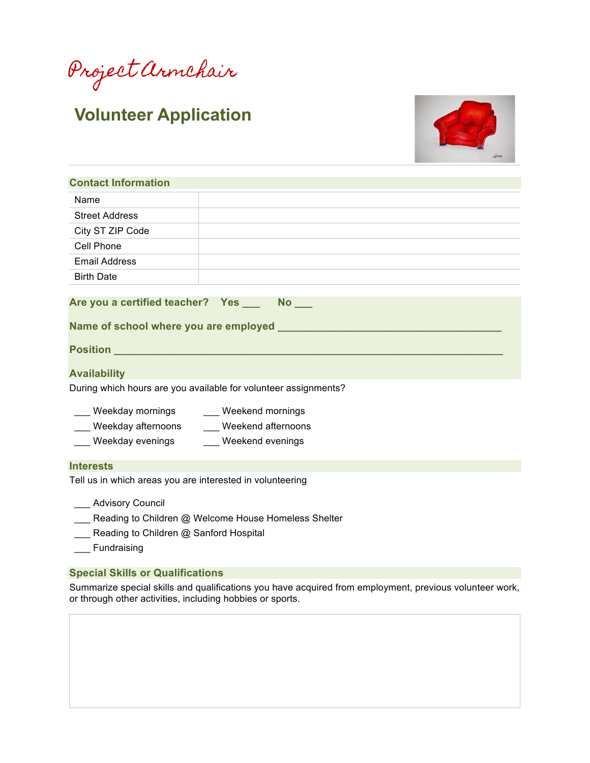Project Armchair

# **Volunteer Application**



| <b>Contact Information</b>                                                             |                                                                 |  |
|----------------------------------------------------------------------------------------|-----------------------------------------------------------------|--|
| Name                                                                                   |                                                                 |  |
| <b>Street Address</b>                                                                  |                                                                 |  |
| City ST ZIP Code                                                                       | <u> 1989 - Andrea Stadt Britain, amerikansk politiker (</u>     |  |
| Cell Phone                                                                             |                                                                 |  |
| <b>Email Address</b>                                                                   |                                                                 |  |
| <b>Birth Date</b>                                                                      |                                                                 |  |
|                                                                                        |                                                                 |  |
|                                                                                        |                                                                 |  |
|                                                                                        |                                                                 |  |
| <b>Availability</b>                                                                    | During which hours are you available for volunteer assignments? |  |
| Weekday afternoons _____ Weekend afternoons<br>Weekday evenings _____ Weekend evenings |                                                                 |  |
| <b>Interests</b>                                                                       |                                                                 |  |

\_\_\_ Advisory Council

- **EXECO ADDE EXECO ADDE EXECO ADDED** Reading to Children @ Welcome House Homeless Shelter
- **\_\_\_** Reading to Children @ Sanford Hospital
- \_\_\_ Fundraising

### **Special Skills or Qualifications**

Summarize special skills and qualifications you have acquired from employment, previous volunteer work, or through other activities, including hobbies or sports.